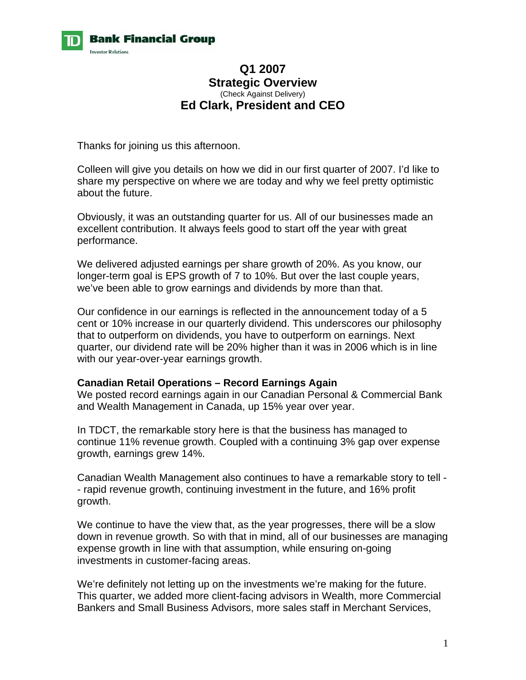

## **Q1 2007 Strategic Overview**  (Check Against Delivery) **Ed Clark, President and CEO**

Thanks for joining us this afternoon.

Colleen will give you details on how we did in our first quarter of 2007. I'd like to share my perspective on where we are today and why we feel pretty optimistic about the future.

Obviously, it was an outstanding quarter for us. All of our businesses made an excellent contribution. It always feels good to start off the year with great performance.

We delivered adjusted earnings per share growth of 20%. As you know, our longer-term goal is EPS growth of 7 to 10%. But over the last couple years, we've been able to grow earnings and dividends by more than that.

Our confidence in our earnings is reflected in the announcement today of a 5 cent or 10% increase in our quarterly dividend. This underscores our philosophy that to outperform on dividends, you have to outperform on earnings. Next quarter, our dividend rate will be 20% higher than it was in 2006 which is in line with our year-over-year earnings growth.

#### **Canadian Retail Operations – Record Earnings Again**

We posted record earnings again in our Canadian Personal & Commercial Bank and Wealth Management in Canada, up 15% year over year.

In TDCT, the remarkable story here is that the business has managed to continue 11% revenue growth. Coupled with a continuing 3% gap over expense growth, earnings grew 14%.

Canadian Wealth Management also continues to have a remarkable story to tell - - rapid revenue growth, continuing investment in the future, and 16% profit growth.

We continue to have the view that, as the year progresses, there will be a slow down in revenue growth. So with that in mind, all of our businesses are managing expense growth in line with that assumption, while ensuring on-going investments in customer-facing areas.

We're definitely not letting up on the investments we're making for the future. This quarter, we added more client-facing advisors in Wealth, more Commercial Bankers and Small Business Advisors, more sales staff in Merchant Services,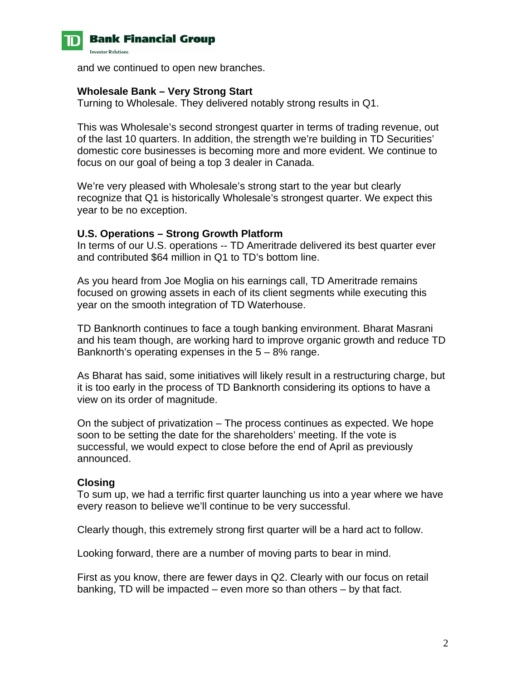

and we continued to open new branches.

#### **Wholesale Bank – Very Strong Start**

Turning to Wholesale. They delivered notably strong results in Q1.

This was Wholesale's second strongest quarter in terms of trading revenue, out of the last 10 quarters. In addition, the strength we're building in TD Securities' domestic core businesses is becoming more and more evident. We continue to focus on our goal of being a top 3 dealer in Canada.

We're very pleased with Wholesale's strong start to the year but clearly recognize that Q1 is historically Wholesale's strongest quarter. We expect this year to be no exception.

#### **U.S. Operations – Strong Growth Platform**

In terms of our U.S. operations -- TD Ameritrade delivered its best quarter ever and contributed \$64 million in Q1 to TD's bottom line.

As you heard from Joe Moglia on his earnings call, TD Ameritrade remains focused on growing assets in each of its client segments while executing this year on the smooth integration of TD Waterhouse.

TD Banknorth continues to face a tough banking environment. Bharat Masrani and his team though, are working hard to improve organic growth and reduce TD Banknorth's operating expenses in the  $5 - 8\%$  range.

As Bharat has said, some initiatives will likely result in a restructuring charge, but it is too early in the process of TD Banknorth considering its options to have a view on its order of magnitude.

On the subject of privatization – The process continues as expected. We hope soon to be setting the date for the shareholders' meeting. If the vote is successful, we would expect to close before the end of April as previously announced.

### **Closing**

To sum up, we had a terrific first quarter launching us into a year where we have every reason to believe we'll continue to be very successful.

Clearly though, this extremely strong first quarter will be a hard act to follow.

Looking forward, there are a number of moving parts to bear in mind.

First as you know, there are fewer days in Q2. Clearly with our focus on retail banking, TD will be impacted – even more so than others – by that fact.